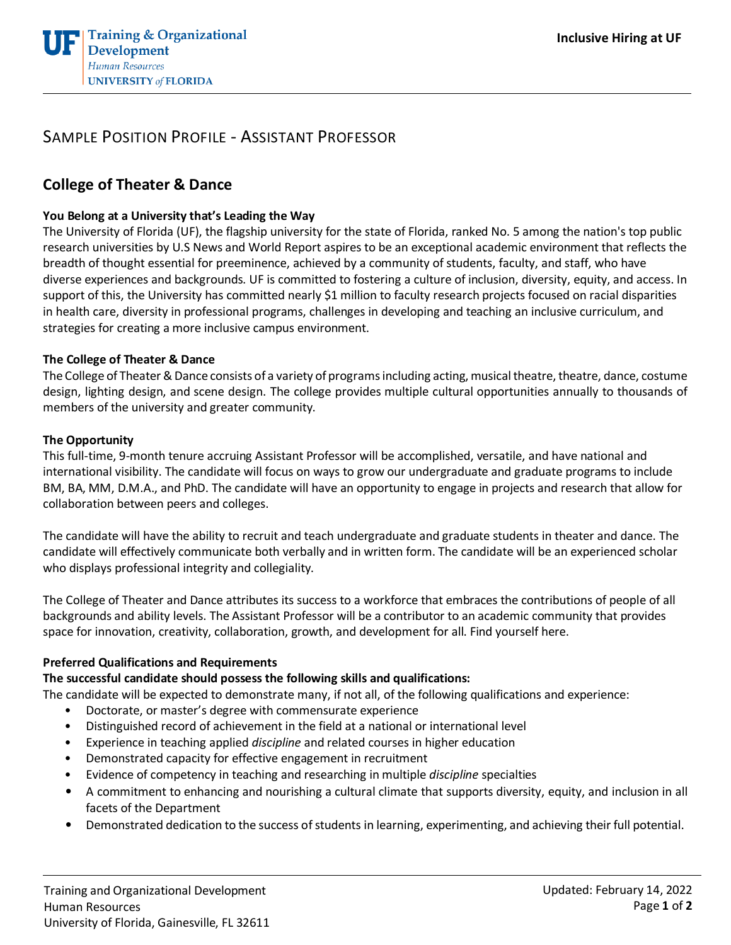

# SAMPLE POSITION PROFILE - ASSISTANT PROFESSOR

# **College of Theater & Dance**

#### **You Belong at a University that's Leading the Way**

The University of Florida (UF), the flagship university for the state of Florida, ranked No. 5 among the nation's top public research universities by U.S News and World Report aspires to be an exceptional academic environment that reflects the breadth of thought essential for preeminence, achieved by a community of students, faculty, and staff, who have diverse experiences and backgrounds. UF is committed to fostering a culture of inclusion, diversity, equity, and access. In support of this, the University has committed nearly \$1 million to faculty research projects focused on racial disparities in health care, diversity in professional programs, challenges in developing and teaching an inclusive curriculum, and strategies for creating a more inclusive campus environment.

#### **The College of Theater & Dance**

The College of Theater & Dance consists of a variety of programs including acting, musical theatre, theatre, dance, costume design, lighting design, and scene design. The college provides multiple cultural opportunities annually to thousands of members of the university and greater community.

### **The Opportunity**

This full-time, 9-month tenure accruing Assistant Professor will be accomplished, versatile, and have national and international visibility. The candidate will focus on ways to grow our undergraduate and graduate programs to include BM, BA, MM, D.M.A., and PhD. The candidate will have an opportunity to engage in projects and research that allow for collaboration between peers and colleges.

The candidate will have the ability to recruit and teach undergraduate and graduate students in theater and dance. The candidate will effectively communicate both verbally and in written form. The candidate will be an experienced scholar who displays professional integrity and collegiality.

The College of Theater and Dance attributes its success to a workforce that embraces the contributions of people of all backgrounds and ability levels. The Assistant Professor will be a contributor to an academic community that provides space for innovation, creativity, collaboration, growth, and development for all. Find yourself here.

#### **Preferred Qualifications and Requirements**

### **The successful candidate should possess the following skills and qualifications:**

The candidate will be expected to demonstrate many, if not all, of the following qualifications and experience:

- Doctorate, or master's degree with commensurate experience
- Distinguished record of achievement in the field at a national or international level
- Experience in teaching applied *discipline* and related courses in higher education
- Demonstrated capacity for effective engagement in recruitment
- Evidence of competency in teaching and researching in multiple *discipline* specialties
- A commitment to enhancing and nourishing a cultural climate that supports diversity, equity, and inclusion in all facets of the Department
- Demonstrated dedication to the success of students in learning, experimenting, and achieving their full potential.